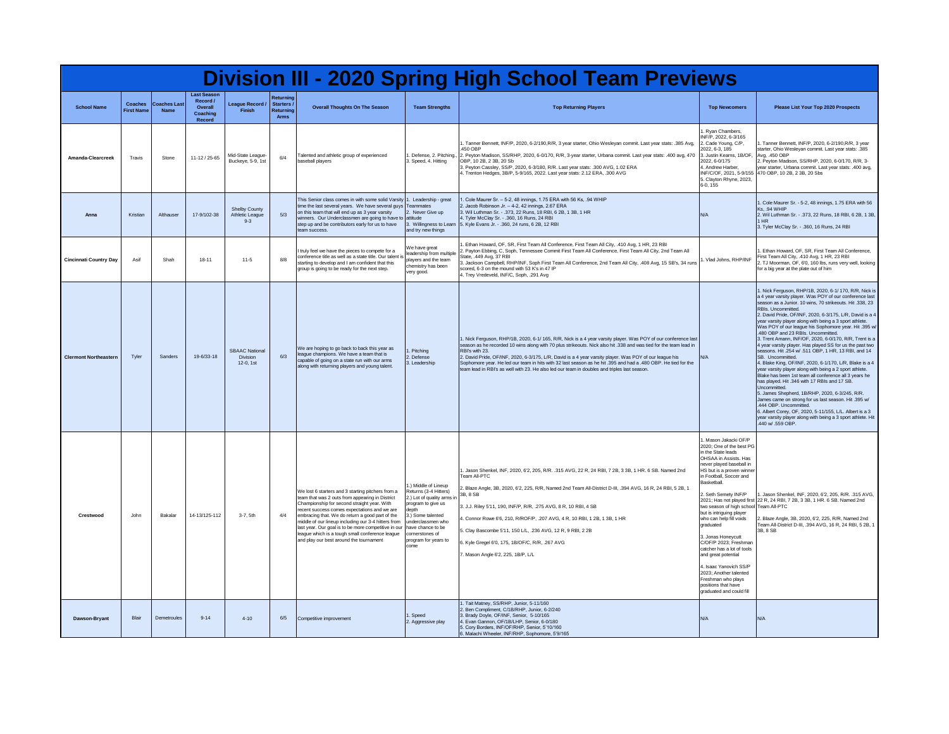| <b>Division III - 2020 Spring High School Team Previews</b> |                                    |                                    |                                                                 |                                             |                                                     |                                                                                                                                                                                                                                                                                                                                                                                                                                                                     |                                                                                                                                                                                                                            |                                                                                                                                                                                                                                                                                                                                                                                                                                                                                                                                                                                   |                                                                                                                                                                                                                                                                                                                                                                                                                                                                                                                                                                        |                                                                                                                                                                                                                                                                                                                                                                                                                                                                                                                                                                                                                                                                                                                                                                                                                                                                                                                                                                                                                                                                                                                                                          |
|-------------------------------------------------------------|------------------------------------|------------------------------------|-----------------------------------------------------------------|---------------------------------------------|-----------------------------------------------------|---------------------------------------------------------------------------------------------------------------------------------------------------------------------------------------------------------------------------------------------------------------------------------------------------------------------------------------------------------------------------------------------------------------------------------------------------------------------|----------------------------------------------------------------------------------------------------------------------------------------------------------------------------------------------------------------------------|-----------------------------------------------------------------------------------------------------------------------------------------------------------------------------------------------------------------------------------------------------------------------------------------------------------------------------------------------------------------------------------------------------------------------------------------------------------------------------------------------------------------------------------------------------------------------------------|------------------------------------------------------------------------------------------------------------------------------------------------------------------------------------------------------------------------------------------------------------------------------------------------------------------------------------------------------------------------------------------------------------------------------------------------------------------------------------------------------------------------------------------------------------------------|----------------------------------------------------------------------------------------------------------------------------------------------------------------------------------------------------------------------------------------------------------------------------------------------------------------------------------------------------------------------------------------------------------------------------------------------------------------------------------------------------------------------------------------------------------------------------------------------------------------------------------------------------------------------------------------------------------------------------------------------------------------------------------------------------------------------------------------------------------------------------------------------------------------------------------------------------------------------------------------------------------------------------------------------------------------------------------------------------------------------------------------------------------|
| <b>School Name</b>                                          | <b>Coaches</b><br><b>First Nam</b> | <b>Coaches Last</b><br><b>Name</b> | <b>Last Season</b><br>Record /<br>Overall<br>Coaching<br>Record | League Record /<br>Finish                   | Returning<br>Starters /<br>Returning<br><b>Arms</b> | <b>Overall Thoughts On The Season</b>                                                                                                                                                                                                                                                                                                                                                                                                                               | <b>Team Strengths</b>                                                                                                                                                                                                      | <b>Top Returning Players</b>                                                                                                                                                                                                                                                                                                                                                                                                                                                                                                                                                      | <b>Top Newcomers</b>                                                                                                                                                                                                                                                                                                                                                                                                                                                                                                                                                   | Please List Your Top 2020 Prospects                                                                                                                                                                                                                                                                                                                                                                                                                                                                                                                                                                                                                                                                                                                                                                                                                                                                                                                                                                                                                                                                                                                      |
| Amanda-Clearcreek                                           | Travis                             | Stone                              | 11-12 / 25-65                                                   | Mid-State League-<br>Buckeve, 5-9, 1st      | 6/4                                                 | Talented and athletic group of experienced<br>baseball players                                                                                                                                                                                                                                                                                                                                                                                                      | Defense, 2. Pitching.,<br>3. Speed, 4. Hitting                                                                                                                                                                             | . Tanner Bennett, INF/P, 2020, 6-2/190, R/R, 3 year starter, Ohio Wesleyan commit. Last year stats: .385 Avg,<br>450 OBP<br>2. Peyton Madison, SS/RHP, 2020, 6-0/170, R/R, 3-year starter, Urbana commit. Last year stats: .400 avg, 470<br>OBP, 10 2B, 2 3B, 20 Sb<br>3. Peyton Cassley, SS/P, 2020, 6-3/180, R/R. Last year stats: .300 AVG, 1.02 ERA<br>4. Trenton Hedges, 3B/P, 5-9/165, 2022. Last year stats: 2.12 ERA, .300 AVG                                                                                                                                            | Ryan Chambers<br>INF/P. 2022. 6-3/165<br>2. Cade Young, C/P,<br>2022, 6-3, 185<br>3. Justin Keams, 1B/OF,<br>2022, 6-0/175<br>4. Andrew Harber<br>INF/C/OF, 2021, 5-9/155<br>5. Clayton Rhyne, 2023,<br>6-0, 155                                                                                                                                                                                                                                                                                                                                                       | I. Tanner Bennett, INF/P, 2020, 6-2/190, R/R, 3 year<br>starter, Ohio Wesleyan commit. Last year stats: .385<br>Avg. .450 OBP<br>2. Peyton Madison, SS/RHP, 2020, 6-0/170, R/R, 3-<br>year starter, Urbana commit. Last year stats: .400 avg,<br>470 OBP, 10 2B, 2 3B, 20 Sbs                                                                                                                                                                                                                                                                                                                                                                                                                                                                                                                                                                                                                                                                                                                                                                                                                                                                            |
| Anna                                                        | Kristian                           | Althauser                          | 17-9/102-38                                                     | Shelby County<br>Athletic League<br>$9 - 3$ | 5/3                                                 | This Senior class comes in with some solid Varsity<br>time the last several years. We have several guys Teammates<br>on this team that will end up as 3 year varsity<br>winners. Our Underclassmen are going to have to attitude<br>step up and be contributors early for us to have<br>team success                                                                                                                                                                | 1. Leadership - great<br>2. Never Give un<br>3. Willingness to Learn<br>and try new things                                                                                                                                 | Cole Maurer Sr. - 5-2, 48 innings, 1.75 ERA with 56 Ks, .94 WHIP<br>2. Jacob Robinson Jr. - 4-2, 42 innings, 2,67 ERA<br>3. Wil Luthman Sr. - .373, 22 Runs, 18 RBI, 6 2B, 1 3B, 1 HR<br>4. Tyler McClay Sr. - .360, 16 Runs, 24 RBI<br>5. Kyle Evans Jr. - .360, 24 runs, 6 2B, 12 RBI                                                                                                                                                                                                                                                                                           | N/A                                                                                                                                                                                                                                                                                                                                                                                                                                                                                                                                                                    | 1. Cole Maurer Sr. - 5-2, 48 innings, 1.75 ERA with 56<br><b>Ks. .94 WHIP</b><br>2. Wil Luthman Sr. - .373, 22 Runs, 18 RBI, 6 2B, 1 3B,<br>1 HR<br>3. Tyler McClay Sr. - . 360, 16 Runs, 24 RBI                                                                                                                                                                                                                                                                                                                                                                                                                                                                                                                                                                                                                                                                                                                                                                                                                                                                                                                                                         |
| <b>Cincinnati Country Day</b>                               | Asit                               | Shah                               | $18 - 11$                                                       | $11-5$                                      | 8/8                                                 | I truly feel we have the pieces to compete for a<br>conference title as well as a state title. Our talent is<br>starting to develop and I am confident that this<br>group is going to be ready for the next step.                                                                                                                                                                                                                                                   | We have great<br>leadership from multiple<br>players and the team.<br>chemistry has been<br>very good.                                                                                                                     | Ethan Howard, OF, SR, First Team All Conference, First Team All City, .410 Avg, 1 HR, 23 RBI<br>. Payton Ebbing, C, Soph, Tennessee Commit First Team All Conference, First Team All City, 2nd Team All<br>State, .449 Avg, 37 RBI<br>3. Jackson Campbell, RHP/INF, Soph First Team All Conference, 2nd Team All City, .408 Avg, 15 SB's, 34 runs<br>scored, 6-3 on the mound with 53 K's in 47 IP<br>4. Trey Vredeveld, INF/C, Soph, .291 Avg                                                                                                                                    | . Vlad Johns, RHP/INF                                                                                                                                                                                                                                                                                                                                                                                                                                                                                                                                                  | . Ethan Howard, OF, SR, First Team All Conference.<br>First Team All City, .410 Avg, 1 HR, 23 RBI<br>2. TJ Moorman, OF, 6'0, 160 lbs, runs very well, looking<br>for a big year at the plate out of him                                                                                                                                                                                                                                                                                                                                                                                                                                                                                                                                                                                                                                                                                                                                                                                                                                                                                                                                                  |
| <b>Clermont Northeastern</b>                                | Tyler                              | Sanders                            | 19-6/33-18                                                      | SBAAC National<br>Division<br>12-0.1st      | 6/3                                                 | We are hoping to go back to back this year as<br>league champions. We have a team that is<br>capable of going on a state run with our arms<br>along with returning players and young talent.                                                                                                                                                                                                                                                                        | Pitching<br>Defense<br>3. Leadership                                                                                                                                                                                       | . Nick Ferguson, RHP/1B, 2020, 6-1/ 165, R/R, Nick is a 4 year varsity player. Was POY of our conference last<br>season as he recorded 10 wins along with 70 plus strikeouts. Nick also hit .338 and was tied for the team lead in<br>RBI's with 23.<br>2. David Pride, OF/INF, 2020, 6-3/175, L/R, David is a 4 year varsity player. Was POY of our league his<br>Sophomore year. He led our team in hits with 32 last season as he hit .395 and had a .480 OBP. He tied for the<br>team lead in RBI's as well with 23. He also led our team in doubles and triples last season. | N/A                                                                                                                                                                                                                                                                                                                                                                                                                                                                                                                                                                    | 1. Nick Ferguson, RHP/1B, 2020, 6-1/ 170, R/R, Nick is<br>a 4 year varsity player. Was POY of our conference last<br>season as a Junior. 10 wins, 70 strikeouts. Hit .338, 23<br>RBIs. Uncommitted.<br>2. David Pride, OF/INF, 2020, 6-3/175, L/R, David is a 4<br>year varsity player along with being a 3 sport athlete.<br>Was POY of our league his Sophomore year. Hit .395 w/<br>.480 OBP and 23 RBIs. Uncommitted.<br>3. Trent Amann, INF/OF, 2020, 6-0/170, R/R. Trent is a<br>4 year varsity player. Has played SS for us the past two<br>seasons, Hit .254 w/ .511 OBP, 1 HR, 13 RBI, and 14<br>SB. Uncommitted.<br>4. Blake King, OF/INF, 2020, 6-1/170, L/R, Blake is a 4<br>year varsity player along with being a 2 sport athlete.<br>Blake has been 1st team all conference all 3 years he<br>has played. Hit .346 with 17 RBIs and 17 SB.<br>Uncommitted.<br>5. James Shepherd, 1B/RHP, 2020, 6-3/245, R/R.<br>James came on strong for us last season. Hit .395 w/<br>.444 OBP. Uncommitted<br>6. Albert Corey, OF, 2020, 5-11/155, L/L. Albert is a 3<br>year varsity player along with being a 3 sport athlete. Hit<br>440 w/ 559 OBP |
| Crestwood                                                   | John                               | Bakalar                            | 14-13/125-112                                                   | 3-7, 5th                                    | 4/4                                                 | We lost 6 starters and 3 starting pitchers from a<br>team that was 2 outs from appearing in District<br>Championship for second straight year. With<br>recent success comes expectations and we are<br>embracing that. We do return a good part of the<br>middle of our lineup including our 3-4 hitters from<br>last year. Our goal is to be more competitive in our<br>league which is a tough small conference league<br>and play our best around the tournament | J Middle of Lineup<br>Returns (3-4 Hitters)<br>2.) Lot of quality arms in<br>program to give us<br>depth<br>3.) Some talented<br>underclassmen who<br>have chance to be<br>cornerstones of<br>program for years to<br>come | . Jason Shenkel, INF, 2020, 6'2, 205, R/R. .315 AVG, 22 R, 24 RBI, 7 2B, 3 3B, 1 HR. 6 SB. Named 2nd<br>eam All-PTC<br>2. Blaze Angle, 3B, 2020, 6'2, 225, R/R, Named 2nd Team All-District D-III, .394 AVG, 16 R, 24 RBI, 5 2B, 1<br>3B. 8 SB<br>3. J.J. Riley 5'11, 190, INF/P, R/R, .275 AVG, 8 R, 10 RBI, 4 SB<br>4. Connor Rowe 6'6, 210, R/ROF/P, .207 AVG, 4 R, 10 RBI, 1 2B, 1 3B, 1 HR<br>5. Clay Bascombe 5'11, 150 L/L, .236 AVG, 12 R, 9 RBI, 2 2B<br>6. Kyle Gregel 6'0, 175, 1B/OF/C, R/R, .267 AVG<br>7. Mason Angle 6'2, 225, 1B/P, L/L                           | . Mason Jakacki OF/P<br>2020; One of the best PG<br>in the State leads<br>OHSAA in Assists, Has<br>never plaved baseball in<br>HS but is a proven winne<br>n Football, Soccer and<br>Basketball<br>2. Seth Semety INF/P<br>two season of high school Team All-PTC<br>but is intriguing player<br>who can help fill voids<br>graduated<br>3. Jonas Honevcutt<br>C/OF/P 2023; Freshman<br>catcher has a lot of tools<br>and great potential<br>4. Isaac Yanovich SS/P<br>2023; Another talented<br>Freshman who plays<br>positions that have<br>graduated and could fill | 1. Jason Shenkel, INF, 2020, 6'2, 205, R/R, .315 AVG.<br>2021; Has not played first 22 R, 24 RBI, 7 2B, 3 3B, 1 HR. 6 SB. Named 2nd<br>2. Blaze Angle, 3B, 2020, 6'2, 225, R/R, Named 2nd<br>Team All-District D-III, .394 AVG, 16 R, 24 RBI, 5 2B, 1<br>3B, 8 SB                                                                                                                                                                                                                                                                                                                                                                                                                                                                                                                                                                                                                                                                                                                                                                                                                                                                                        |
| Dawson-Brvant                                               | <b>Blair</b>                       | Demetroules                        | $9 - 14$                                                        | $4 - 10$                                    | 6/5                                                 | Competitive improvement                                                                                                                                                                                                                                                                                                                                                                                                                                             | Speed<br>2. Aggressive play                                                                                                                                                                                                | 1. Tait Matney, SS/RHP, Junior, 5-11/160<br>2. Ben Compliment, C/1B/RHP, Junior, 6-2/240<br>3. Brady Doyle, OF/INF, Senior, 5-10/165<br>4. Evan Gannon, OF/1B/LHP, Senior, 6-0/180<br>5. Corv Borders, INF/OF/RHP, Senior, 5'10/160<br>6. Malachi Wheeler, INF/RHP, Sophomore, 5'9/165                                                                                                                                                                                                                                                                                            | N/A                                                                                                                                                                                                                                                                                                                                                                                                                                                                                                                                                                    | N/A                                                                                                                                                                                                                                                                                                                                                                                                                                                                                                                                                                                                                                                                                                                                                                                                                                                                                                                                                                                                                                                                                                                                                      |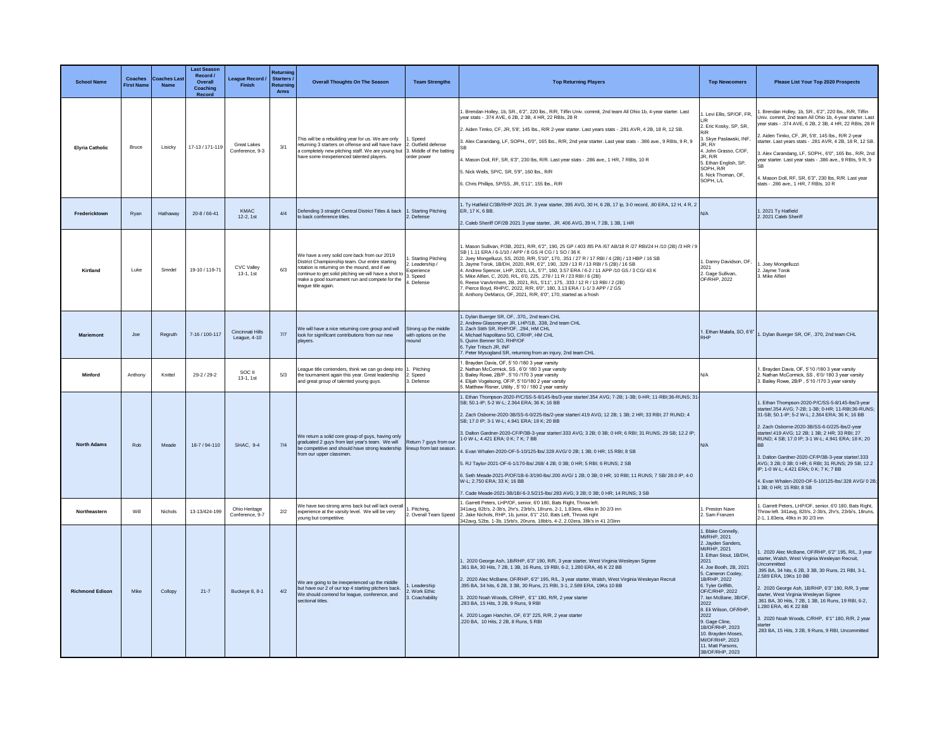| <b>School Name</b>     | Coaches<br><b>First Name</b> | <b>Coaches Las</b><br><b>Name</b> | <b>Last Season</b><br>Record /<br>Overall<br>Coaching<br>Record | League Record<br>Finish               | Returning<br><b>Starters</b><br>Returning<br>Arms | <b>Overall Thoughts On The Season</b>                                                                                                                                                                                                                                             | <b>Team Strengths</b>                                                          | <b>Top Returning Players</b>                                                                                                                                                                                                                                                                                                                                                                                                                                                                                                                                                                                                                                                                                                                                                                                                                                         | <b>Top Newcomers</b>                                                                                                                                                                                                                                                                                                                                                                                      | <b>Please List Your Top 2020 Prospects</b>                                                                                                                                                                                                                                                                                                                                                                                                                                                                                                                             |
|------------------------|------------------------------|-----------------------------------|-----------------------------------------------------------------|---------------------------------------|---------------------------------------------------|-----------------------------------------------------------------------------------------------------------------------------------------------------------------------------------------------------------------------------------------------------------------------------------|--------------------------------------------------------------------------------|----------------------------------------------------------------------------------------------------------------------------------------------------------------------------------------------------------------------------------------------------------------------------------------------------------------------------------------------------------------------------------------------------------------------------------------------------------------------------------------------------------------------------------------------------------------------------------------------------------------------------------------------------------------------------------------------------------------------------------------------------------------------------------------------------------------------------------------------------------------------|-----------------------------------------------------------------------------------------------------------------------------------------------------------------------------------------------------------------------------------------------------------------------------------------------------------------------------------------------------------------------------------------------------------|------------------------------------------------------------------------------------------------------------------------------------------------------------------------------------------------------------------------------------------------------------------------------------------------------------------------------------------------------------------------------------------------------------------------------------------------------------------------------------------------------------------------------------------------------------------------|
| <b>Elyria Catholic</b> | Bruce                        | Lisicky                           | 17-13 / 171-119                                                 | <b>Great Lakes</b><br>Conference, 9-3 | 3/1                                               | This will be a rebuilding year for us. We are only<br>returning 3 starters on offense and will have have 2. Outfield defense<br>a completely new pitching staff. We are young but 3. Middle of the batting<br>have some inexperienced talented players.                           | 1. Speed<br>order power                                                        | . Brendan Holley, 1b, SR., 6'2", 220 lbs., R/R, Tiffin Univ. commit, 2nd team All Ohio 1b, 4-year starter. Last<br>vear stats - .374 AVE, 6 2B, 2 3B, 4 HR, 22 RBIs, 28 R<br>2. Aiden Timko, CF, JR, 5'8', 145 lbs., R/R 2-year starter. Last years stats - .281 AVR, 4 2B, 18 R, 12 SB.<br>3. Alex Carandang, LF, SOPH., 6'0", 165 lbs., R/R, 2nd year starter. Last year stats - .386 ave., 9 RBIs, 9 R, 9<br>I. Mason Doll, RF, SR, 6'3", 230 lbs, R/R. Last year stats - .286 ave., 1 HR, 7 RBIs, 10 R<br>5. Nick Wells, SP/C, SR, 5'9", 160 lbs., R/R<br>6. Chris Phillips, SP/SS, JR, 5'11", 155 lbs., R/R                                                                                                                                                                                                                                                     | . Levi Ellis, SP/OF, FR,<br>LR<br>2. Eric Kosky, SP, SR,<br>₹/R<br>3. Skye Paslawski, INF,<br>JR. R/r<br>4. John Grasso, C/OF<br>JR. R/R<br>5. Ethan English, SP,<br>SOPH R/R<br>6. Nick Thoman, OF.<br>SOPH, L/L                                                                                                                                                                                         | Brendan Holley, 1b, SR., 6'2", 220 lbs., R/R, Tiffin<br>Univ, commit, 2nd team All Ohio 1b, 4-vear starter, Last<br>year stats - .374 AVE, 6 2B, 2 3B, 4 HR, 22 RBIs, 28 R<br>2. Aiden Timko, CF, JR, 5'8', 145 lbs., R/R 2-year<br>starter, Last vears stats - .281 AVR, 4 2B, 18 R, 12 SB<br>8. Alex Carandang, LF, SOPH., 6'0", 165 lbs., R/R, 2nd<br>year starter. Last year stats - .386 ave., 9 RBIs, 9 R, 9<br>4. Mason Doll, RF, SR, 6'3", 230 lbs, R/R. Last year<br>stats - .286 ave., 1 HR, 7 RBIs, 10 R                                                    |
| Fredericktown          | Ryan                         | Hathaway                          | 20-8 / 66-41                                                    | <b>KMAC</b><br>$12-2.1st$             | 4/4                                               | Defending 3 straight Central District Titles & back<br>to back conference titles                                                                                                                                                                                                  | 1. Starting Pitching<br>2. Defense                                             | 1. Ty Hatfield C/3B/RHP 2021 JR. 3 year starter, 395 AVG, 30 H, 6 2B, 17 ip, 3-0 record, .80 ERA, 12 H, 4 R, 2<br>ER. 17 K. 6 BB.<br>2. Caleb Sheriff OF/2B 2021 3 year starter, JR. 406 AVG, 39 H, 7 2B, 1 3B, 1 HR                                                                                                                                                                                                                                                                                                                                                                                                                                                                                                                                                                                                                                                 | N/A                                                                                                                                                                                                                                                                                                                                                                                                       | . 2021 Ty Hatfield<br>2. 2021 Caleb Sheriff                                                                                                                                                                                                                                                                                                                                                                                                                                                                                                                            |
| Kirtland               | Luke                         | Smrdel                            | 19-10 / 119-71                                                  | <b>CVC Valley</b><br>13-1, 1st        | 6/3                                               | We have a very solid core back from our 2019<br>District Championship team. Our entire starting<br>rotation is returning on the mound, and if we<br>continue to get solid pitching we will have a shot to<br>make a good tournament run and compete for the<br>eague title again. | . Starting Pitching<br>2. Leadership /<br>Experience<br>3. Speed<br>4. Defense | . Mason Sullivan, P/3B, 2021, R/R, 6'2", 190, 25 GP /.403 /85 PA /67 AB/18 R /27 RBI/24 H /10 (2B) /3 HR / 9<br>SB   1.11 ERA / 6-1/10 / APP / 8 GS /4 CG / 1 SO / 36 K<br>2. Joev Mongelluzzi, SS, 2020, R/R, 5'10", 170, 351 / 27 R / 17 RBI / 4 (2B) / 13 HBP / 16 SB<br>3. Jayme Torok, 1B/DH, 2020, R/R, 6'2", 190, 329 / 13 R / 13 RBI / 5 (2B) / 16 SB<br>4. Andrew Spencer, LHP, 2021, L/L, 5'7", 160, 3.57 ERA / 6-2 / 11 APP /10 GS / 3 CG/ 43 K<br>5. Mike Alfieri, C. 2020, R/L, 6'0, 225, .278 / 11 R / 23 RBI / 6 (2B)<br>3. Reese VanAmhem, 2B, 2021, R/L, 5'11", 175, .333 / 12 R / 13 RBI / 2 (2B)<br>. Pierce Bovd, RHP/C, 2022, R/R, 6'0", 180, 3,13 ERA / 1-1/ 3 APP / 2 GS<br>8. Anthony DeMarco, OF, 2021, R/R, 6'0", 170, started as a frosh                                                                                                  | . Danny Davidson, OF,<br>2021<br>2. Gage Sullivan,<br>OF/RHP 2022                                                                                                                                                                                                                                                                                                                                         | . Joev Mongelluzzi<br>2. Jayme Torok<br>3. Mike Alfieri                                                                                                                                                                                                                                                                                                                                                                                                                                                                                                                |
| Mariemont              | Joe                          | Regruth                           | 7-16 / 100-117                                                  | Cincinnati Hills<br>League, 4-10      | 7/7                                               | We will have a nice returning core group and will<br>look for significant contributions from our new<br>players.                                                                                                                                                                  | Strong up the middle<br>with options on the<br>hnuom                           | 1. Dylan Buerger SR, OF, .370,, 2nd team CHL<br>2. Andrew Glassmeyer JR, LHP/1B, .338, 2nd team CHL<br>3. Zach Stith SR, RHP/OF, .294, HM CHL<br>4. Michael Napolitano SO, C/RHP, HM CHL<br>5. Quinn Benner SO, RHP/OF<br>6. Tyler Tritsch JR, INF<br>7. Peter Mysogland SR, returning from an injury, 2nd team CHL                                                                                                                                                                                                                                                                                                                                                                                                                                                                                                                                                  | 1. Ethan Malafa, SO, 6'6'<br><b>DHD</b>                                                                                                                                                                                                                                                                                                                                                                   | . Dylan Buerger SR, OF, .370, 2nd team CHL                                                                                                                                                                                                                                                                                                                                                                                                                                                                                                                             |
| Minford                | Anthony                      | Knittel                           | 29-2 / 29-2                                                     | SOC II<br>13-1, 1st                   | $5/3$                                             | eague title contenders, think we can go deep into<br>the tournament again this year. Great leadership<br>and great group of talented young guys.                                                                                                                                  | . Pitching<br>2. Speed<br>3. Defense                                           | . Brayden Davis, OF, 5'10 /180 3 year varsity<br>Mathan McCormick, SS, 6'0/180 3 year varsity<br>3. Bailey Rowe, 2B/P, 5'10 /170 3 year varsity<br>. Elijah Vogelsong, OF/P, 5'10/180 2 year varsity<br>5. Matthew Risner, Utility , 5'10 / 180 2 year varsity                                                                                                                                                                                                                                                                                                                                                                                                                                                                                                                                                                                                       | N/A                                                                                                                                                                                                                                                                                                                                                                                                       | Brayden Davis, OF, 5'10 /180 3 year varsity<br>2. Nathan McCormick, SS, 6'0/ 180 3 year varsity<br>3. Bailey Rowe, 2B/P, 5'10 /170 3 year varsity                                                                                                                                                                                                                                                                                                                                                                                                                      |
| <b>North Adams</b>     | Rob                          | Meade                             | 18-7 / 94-110                                                   | SHAC, 9-4                             | 7/4                                               | We return a solid core group of guys, having only<br>graduated 2 guys from last year's team. We will<br>be competitive and should have strong leadership lineup from last season.<br>from our upper classmen.                                                                     | Return 7 guys from our                                                         | 1. Ethan Thompson-2020-P/C/SS-5-8/145-lbs/3-year starter/.354 AVG; 7-2B; 1-3B; 0-HR; 11-RBI;36-RUNS; 31-<br>SB: 50.1-IP: 5-2 W-L: 2.364 ERA: 36 K: 16 BB<br>2. Zach Osborne-2020-3B/SS-6-0/225-lbs/2-year starter/.419 AVG; 12 2B; 1 3B; 2 HR; 33 RBI; 27 RUND; 4<br>SB: 17.0 IP: 3-1 W-L: 4.941 ERA: 18 K: 20 BB<br>3. Dalton Gardner-2020-CF/P/3B-3-year starter/.333 AVG; 3 2B; 0 3B; 0 HR; 6 RBI; 31 RUNS; 29 SB; 12.2 IP;<br>1-0 W-I : 4 421 FRA : 0 K · 7 K · 7 BB<br>Fivan Whalen-2020-OF-5-10/125-lbs/ 328 AVG/ 0.2B: 1.3B: 0.HR: 15 RBI: 8 SB<br>5. RJ Taylor-2021-OF-6-1/170-lbs/.268/ 4 2B; 0 3B; 0 HR; 5 RBI; 6 RUNS; 2 SB<br>6. Seth Meade-2021-P/OF/1B-6-3/190-lbs/.200 AVG/ 1 2B; 0 3B; 0 HR; 10 RBI; 11 RUNS; 7 SB/ 28.0 IP; 4-0<br>W-L; 2.750 ERA; 33 K; 16 BB<br>7. Cade Meade-2021-3B/1B/-6-3.5/215-lbs/.283 AVG; 3 2B; 0 3B; 0 HR; 14 RUNS; 3 SB | N/A                                                                                                                                                                                                                                                                                                                                                                                                       | Fthan Thompson-2020-P/C/SS-5-8/145-lhs/3-year<br>starter/.354 AVG; 7-2B; 1-3B; 0-HR; 11-RBI;36-RUNS;<br>31-SB: 50.1-IP: 5-2 W-I : 2.364 ERA: 36 K: 16 BB<br>2. Zach Osborne-2020-3B/SS-6-0/225-lbs/2-vear<br>starter/ 419 AVG: 12 2B: 1.3B: 2 HR: 33 RBI: 27<br>RUND: 4 SB: 17.0 IP: 3-1 W-I: 4 941 FRA: 18 K: 20<br><b>RR</b><br>3. Dalton Gardner-2020-CF/P/3B-3-year starter/.333<br>AVG: 3 2B: 0 3B: 0 HR: 6 RBI: 31 RUNS: 29 SB: 12.2<br>IP; 1-0 W-L; 4.421 ERA; 0 K; 7 K; 7 BB<br>4. Evan Whalen-2020-OF-5-10/125-lbs/.328 AVG/ 0 2B;<br>13B; 0 HR; 15 RBI; 8 SB |
| Northeastern           | Will                         | Nichols                           | 13-13/424-199                                                   | Ohio Heritage<br>Conference, 9-7      | 2/2                                               | We have two strong arms back but will lack overall<br>experience at the varsity level. We will be very<br>oung but competitive.                                                                                                                                                   | . Pitching,<br>2. Overall Team Speed                                           | 1. Garrett Peters, LHP/OF, senior, 6'0 180, Bats Right, Throw left.<br>341avg, 82b's, 2-3b's, 2hr's, 23rbi's, 18runs, 2-1, 1.83era, 49ks in 30 2/3 inn<br>2. Jake Nichols, RHP, 1b, junior, 6'1" 210, Bats Left, Throws right<br>342avg, 52bs, 1-3b, 15rbi's, 20runs, 18bb's, 4-2, 2.02era, 38k's in 41 2/3inn                                                                                                                                                                                                                                                                                                                                                                                                                                                                                                                                                       | . Preston Nave<br>Sam Franzen                                                                                                                                                                                                                                                                                                                                                                             | . Garrett Peters, LHP/OF, senior, 6'0 180, Bats Right,<br>Throw left. 341avg, 82b's, 2-3b's, 2hr's, 23rbi's, 18runs.<br>2-1, 1.83era, 49ks in 30 2/3 inn                                                                                                                                                                                                                                                                                                                                                                                                               |
| <b>Richmond Edison</b> | Mike                         | Collopy                           | $21 - 7$                                                        | Buckeve 8, 8-1                        | 4/2                                               | We are going to be inexperienced up the middle<br>but have our 2 of our top 4 starting pitchers back.<br>We should contend for league, conference, and<br>sectional titles                                                                                                        | I. Leadership<br>2. Work Ethic<br>3. Coachability                              | 1. 2020 George Ash, 1B/RHP, 6'3" 190, R/R, 3 year starter, West Virginia Wesleyan Signee<br>.361 BA, 30 Hits, 7 2B, 1 3B, 16 Runs, 19 RBI, 6-2, 1.280 ERA, 46 K 22 BB<br>2. 2020 Alec McBane, OF/RHP, 6'2" 195, R/L, 3 year starter, Walsh, West Virginia Wesleyan Recruit<br>.395 BA, 34 hits, 6 2B, 3 3B, 30 Runs, 21 RBI, 3-1, 2.589 ERA, 19Ks 10 BB<br>3. 2020 Noah Woods, C/RHP, 6'1" 180, R/R, 2 year starter<br>283 BA 15 Hits 3 2B 9 Runs 9 RBI<br>4. 2020 Logan Hanchin, OF, 6'3" 225, R/R, 2 year starter<br>220 BA 10 Hits 2 2B 8 Runs 5 RBI                                                                                                                                                                                                                                                                                                              | . Blake Connelly,<br>MI/RHP, 2021<br>2. Jayden Sanders,<br>MI/RHP, 2021<br>3. Ethan Stout, 1B/DH,<br>2021<br>4. Joe Booth, 2B, 2021<br>5. Cameron Cooley,<br>1B/RHP, 2022<br>6. Tyler Griffith.<br>OF/C/RHP, 2022<br>7. Ian McBane, 3B/OE.<br>2022<br>8. Eli Wilson, OF/RHP.<br>2022<br>9. Gage Cline,<br>1B/OE/RHP 2023<br>10. Brayden Moses.<br>MI/OF/RHP. 2023<br>11. Matt Parsons.<br>3B/OF/RHP, 2023 | . 2020 Alec McBane, OF/RHP, 6'2" 195, R/L, 3 year<br>starter, Walsh, West Virginia Weslevan Recruit.<br>Uncommitted<br>395 BA 34 hits, 6 2B 3 3B 30 Runs, 21 RBL 3-1<br>2.589 ERA, 19Ks 10 BB<br>2. 2020 George Ash, 1B/RHP, 6'3" 190, R/R, 3 year<br>starter, West Virginia Wesleyan Signee<br>.361 BA, 30 Hits, 7 2B, 1 3B, 16 Runs, 19 RBI, 6-2,<br>1.280 ERA, 46 K 22 BB<br>3. 2020 Noah Woods, C/RHP, 6'1" 180, R/R, 2 year<br>starter<br>.283 BA, 15 Hits, 3 2B, 9 Runs, 9 RBI, Uncommitted                                                                      |